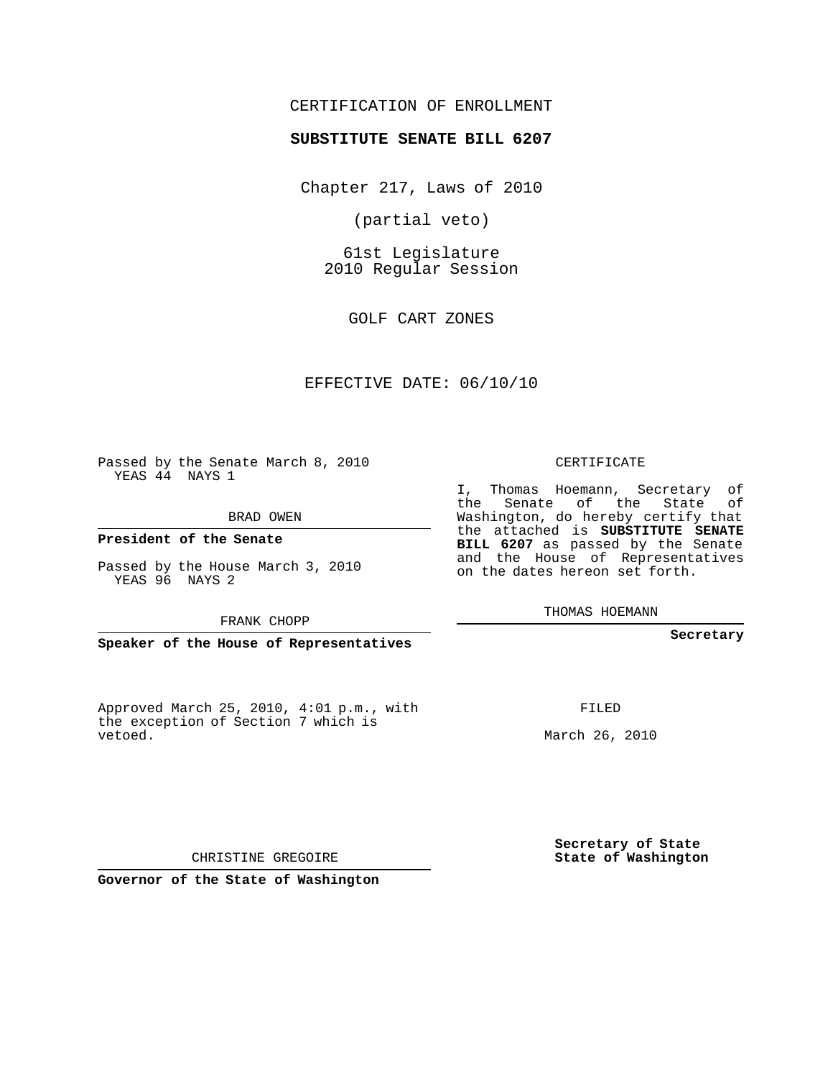## CERTIFICATION OF ENROLLMENT

## **SUBSTITUTE SENATE BILL 6207**

Chapter 217, Laws of 2010

(partial veto)

61st Legislature 2010 Regular Session

GOLF CART ZONES

## EFFECTIVE DATE: 06/10/10

Passed by the Senate March 8, 2010 YEAS 44 NAYS 1

BRAD OWEN

**President of the Senate**

Passed by the House March 3, 2010 YEAS 96 NAYS 2

FRANK CHOPP

**Speaker of the House of Representatives**

Approved March 25, 2010, 4:01 p.m., with the exception of Section 7 which is vetoed.

CERTIFICATE

I, Thomas Hoemann, Secretary of the Senate of the State of Washington, do hereby certify that the attached is **SUBSTITUTE SENATE BILL 6207** as passed by the Senate and the House of Representatives on the dates hereon set forth.

THOMAS HOEMANN

**Secretary**

FILED

March 26, 2010

**Secretary of State State of Washington**

CHRISTINE GREGOIRE

**Governor of the State of Washington**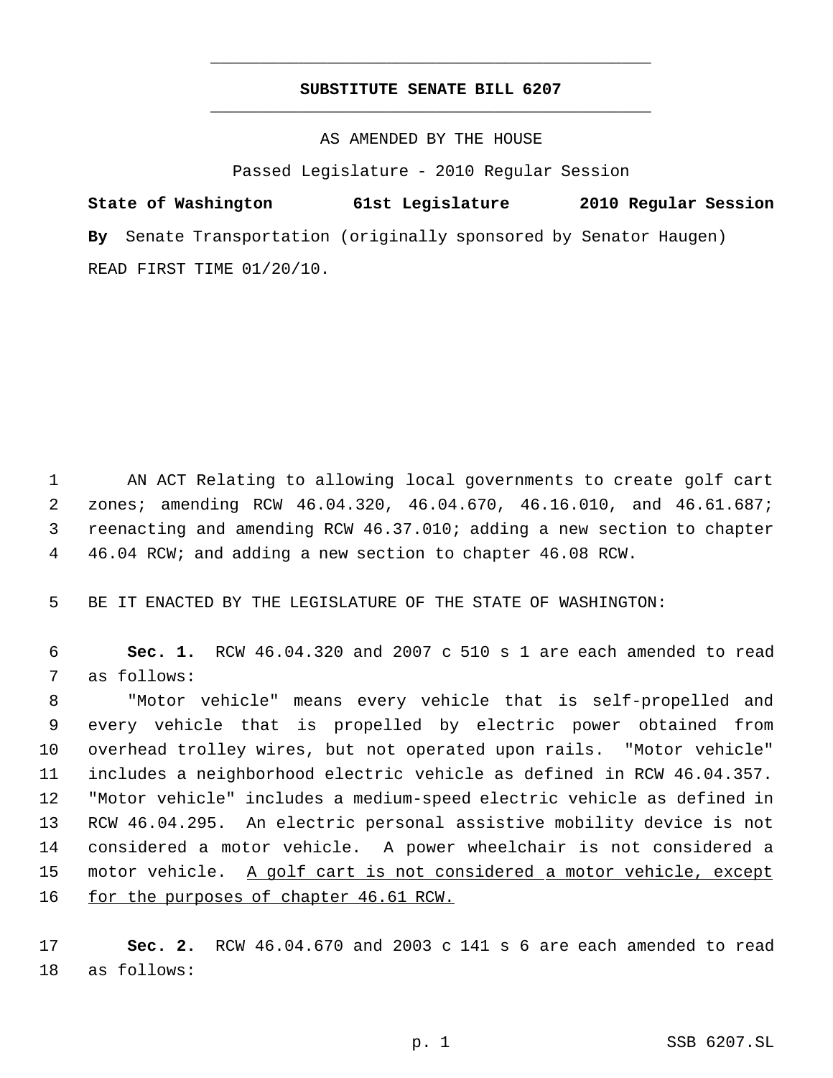## **SUBSTITUTE SENATE BILL 6207** \_\_\_\_\_\_\_\_\_\_\_\_\_\_\_\_\_\_\_\_\_\_\_\_\_\_\_\_\_\_\_\_\_\_\_\_\_\_\_\_\_\_\_\_\_

\_\_\_\_\_\_\_\_\_\_\_\_\_\_\_\_\_\_\_\_\_\_\_\_\_\_\_\_\_\_\_\_\_\_\_\_\_\_\_\_\_\_\_\_\_

AS AMENDED BY THE HOUSE

Passed Legislature - 2010 Regular Session

**State of Washington 61st Legislature 2010 Regular Session By** Senate Transportation (originally sponsored by Senator Haugen) READ FIRST TIME 01/20/10.

 AN ACT Relating to allowing local governments to create golf cart zones; amending RCW 46.04.320, 46.04.670, 46.16.010, and 46.61.687; reenacting and amending RCW 46.37.010; adding a new section to chapter 46.04 RCW; and adding a new section to chapter 46.08 RCW.

BE IT ENACTED BY THE LEGISLATURE OF THE STATE OF WASHINGTON:

 **Sec. 1.** RCW 46.04.320 and 2007 c 510 s 1 are each amended to read as follows:

 "Motor vehicle" means every vehicle that is self-propelled and every vehicle that is propelled by electric power obtained from overhead trolley wires, but not operated upon rails. "Motor vehicle" includes a neighborhood electric vehicle as defined in RCW 46.04.357. "Motor vehicle" includes a medium-speed electric vehicle as defined in RCW 46.04.295. An electric personal assistive mobility device is not considered a motor vehicle. A power wheelchair is not considered a 15 motor vehicle. A golf cart is not considered a motor vehicle, except for the purposes of chapter 46.61 RCW.

 **Sec. 2.** RCW 46.04.670 and 2003 c 141 s 6 are each amended to read as follows: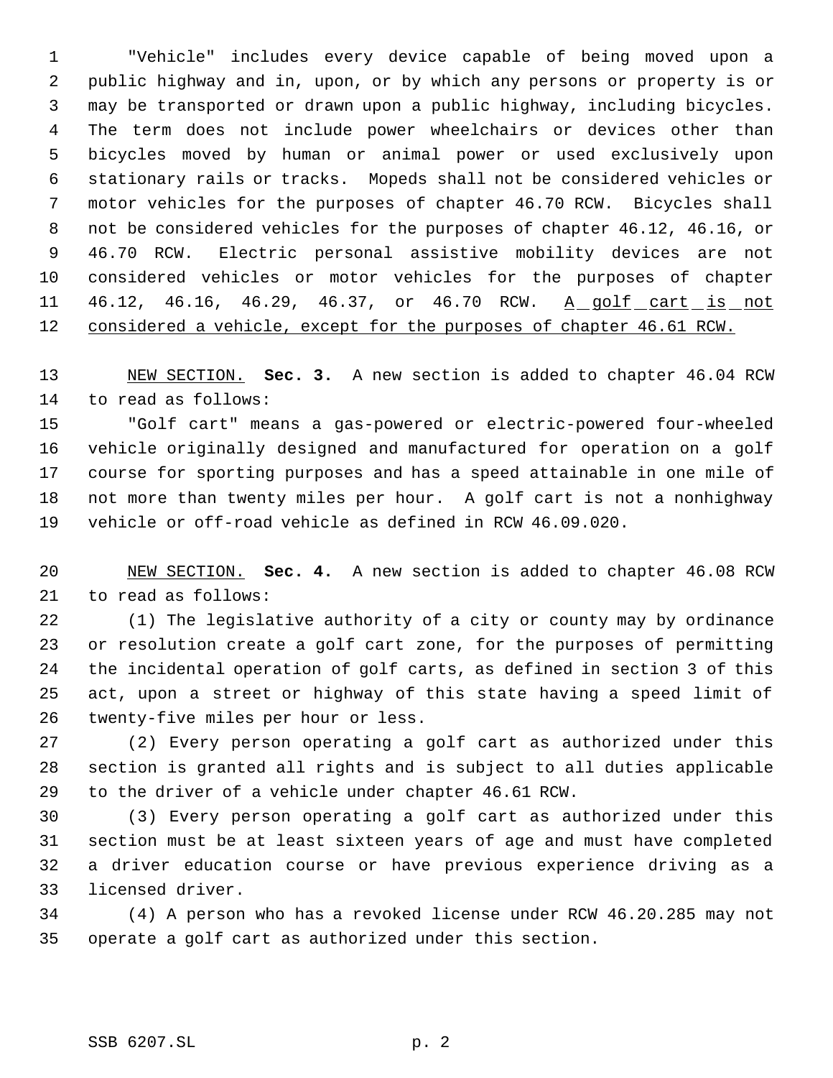"Vehicle" includes every device capable of being moved upon a public highway and in, upon, or by which any persons or property is or may be transported or drawn upon a public highway, including bicycles. The term does not include power wheelchairs or devices other than bicycles moved by human or animal power or used exclusively upon stationary rails or tracks. Mopeds shall not be considered vehicles or motor vehicles for the purposes of chapter 46.70 RCW. Bicycles shall not be considered vehicles for the purposes of chapter 46.12, 46.16, or 46.70 RCW. Electric personal assistive mobility devices are not considered vehicles or motor vehicles for the purposes of chapter 11 46.12, 46.16, 46.29, 46.37, or 46.70 RCW. A golf cart is not 12 considered a vehicle, except for the purposes of chapter 46.61 RCW.

 NEW SECTION. **Sec. 3.** A new section is added to chapter 46.04 RCW to read as follows:

 "Golf cart" means a gas-powered or electric-powered four-wheeled vehicle originally designed and manufactured for operation on a golf course for sporting purposes and has a speed attainable in one mile of not more than twenty miles per hour. A golf cart is not a nonhighway vehicle or off-road vehicle as defined in RCW 46.09.020.

 NEW SECTION. **Sec. 4.** A new section is added to chapter 46.08 RCW to read as follows:

 (1) The legislative authority of a city or county may by ordinance or resolution create a golf cart zone, for the purposes of permitting the incidental operation of golf carts, as defined in section 3 of this act, upon a street or highway of this state having a speed limit of twenty-five miles per hour or less.

 (2) Every person operating a golf cart as authorized under this section is granted all rights and is subject to all duties applicable to the driver of a vehicle under chapter 46.61 RCW.

 (3) Every person operating a golf cart as authorized under this section must be at least sixteen years of age and must have completed a driver education course or have previous experience driving as a licensed driver.

 (4) A person who has a revoked license under RCW 46.20.285 may not operate a golf cart as authorized under this section.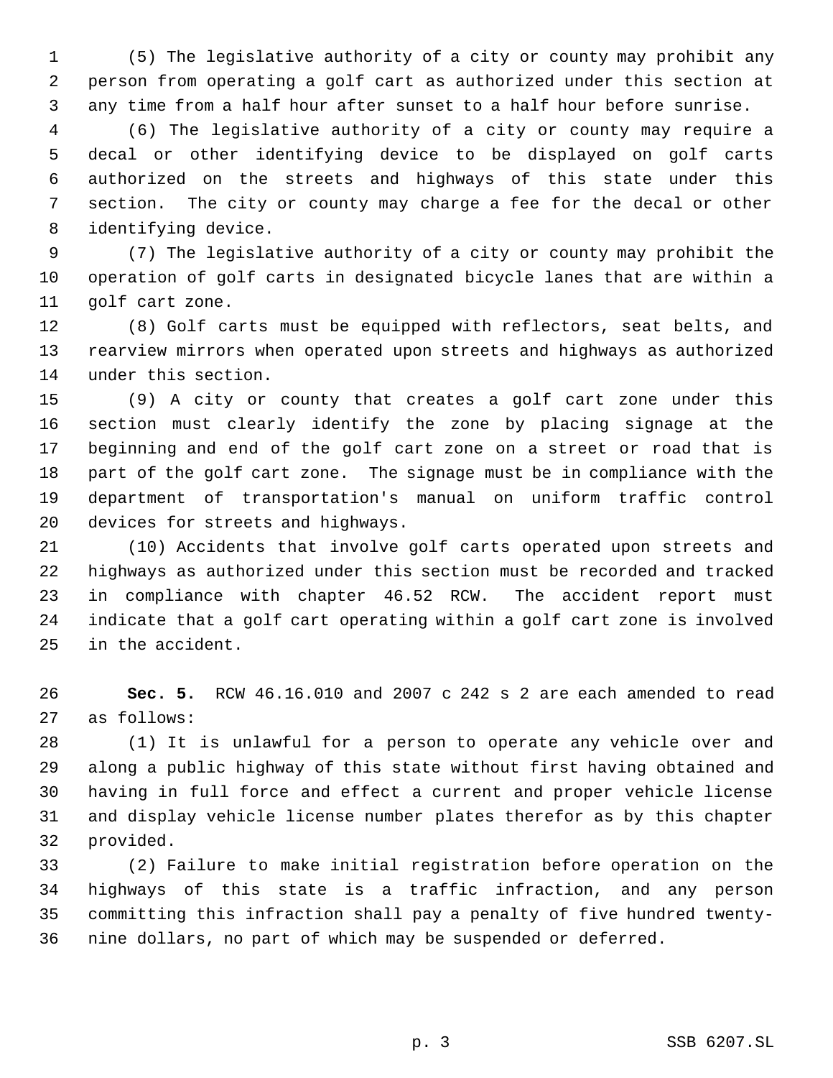(5) The legislative authority of a city or county may prohibit any person from operating a golf cart as authorized under this section at any time from a half hour after sunset to a half hour before sunrise.

 (6) The legislative authority of a city or county may require a decal or other identifying device to be displayed on golf carts authorized on the streets and highways of this state under this section. The city or county may charge a fee for the decal or other identifying device.

 (7) The legislative authority of a city or county may prohibit the operation of golf carts in designated bicycle lanes that are within a golf cart zone.

 (8) Golf carts must be equipped with reflectors, seat belts, and rearview mirrors when operated upon streets and highways as authorized under this section.

 (9) A city or county that creates a golf cart zone under this section must clearly identify the zone by placing signage at the beginning and end of the golf cart zone on a street or road that is part of the golf cart zone. The signage must be in compliance with the department of transportation's manual on uniform traffic control devices for streets and highways.

 (10) Accidents that involve golf carts operated upon streets and highways as authorized under this section must be recorded and tracked in compliance with chapter 46.52 RCW. The accident report must indicate that a golf cart operating within a golf cart zone is involved in the accident.

 **Sec. 5.** RCW 46.16.010 and 2007 c 242 s 2 are each amended to read as follows:

 (1) It is unlawful for a person to operate any vehicle over and along a public highway of this state without first having obtained and having in full force and effect a current and proper vehicle license and display vehicle license number plates therefor as by this chapter provided.

 (2) Failure to make initial registration before operation on the highways of this state is a traffic infraction, and any person committing this infraction shall pay a penalty of five hundred twenty-nine dollars, no part of which may be suspended or deferred.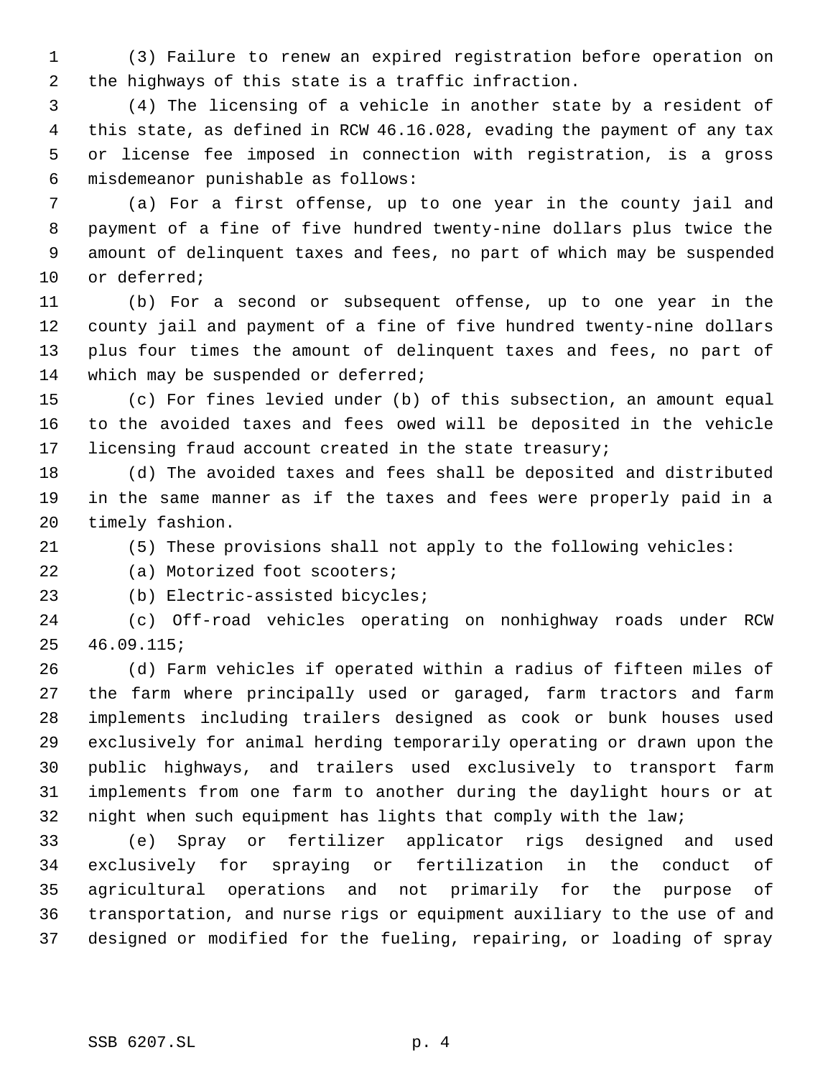(3) Failure to renew an expired registration before operation on the highways of this state is a traffic infraction.

 (4) The licensing of a vehicle in another state by a resident of this state, as defined in RCW 46.16.028, evading the payment of any tax or license fee imposed in connection with registration, is a gross misdemeanor punishable as follows:

 (a) For a first offense, up to one year in the county jail and payment of a fine of five hundred twenty-nine dollars plus twice the amount of delinquent taxes and fees, no part of which may be suspended or deferred;

 (b) For a second or subsequent offense, up to one year in the county jail and payment of a fine of five hundred twenty-nine dollars plus four times the amount of delinquent taxes and fees, no part of 14 which may be suspended or deferred;

 (c) For fines levied under (b) of this subsection, an amount equal to the avoided taxes and fees owed will be deposited in the vehicle licensing fraud account created in the state treasury;

 (d) The avoided taxes and fees shall be deposited and distributed in the same manner as if the taxes and fees were properly paid in a timely fashion.

(5) These provisions shall not apply to the following vehicles:

(a) Motorized foot scooters;

(b) Electric-assisted bicycles;

 (c) Off-road vehicles operating on nonhighway roads under RCW 46.09.115;

 (d) Farm vehicles if operated within a radius of fifteen miles of the farm where principally used or garaged, farm tractors and farm implements including trailers designed as cook or bunk houses used exclusively for animal herding temporarily operating or drawn upon the public highways, and trailers used exclusively to transport farm implements from one farm to another during the daylight hours or at night when such equipment has lights that comply with the law;

 (e) Spray or fertilizer applicator rigs designed and used exclusively for spraying or fertilization in the conduct of agricultural operations and not primarily for the purpose of transportation, and nurse rigs or equipment auxiliary to the use of and designed or modified for the fueling, repairing, or loading of spray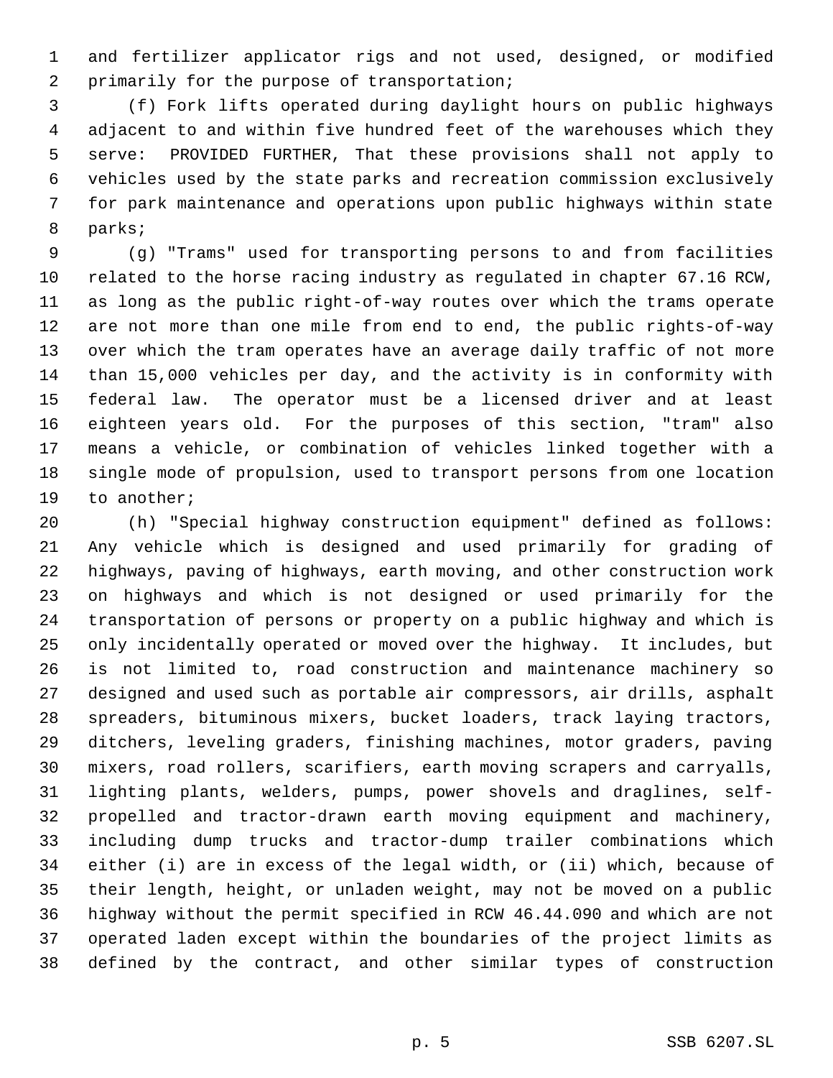and fertilizer applicator rigs and not used, designed, or modified primarily for the purpose of transportation;

 (f) Fork lifts operated during daylight hours on public highways adjacent to and within five hundred feet of the warehouses which they serve: PROVIDED FURTHER, That these provisions shall not apply to vehicles used by the state parks and recreation commission exclusively for park maintenance and operations upon public highways within state parks;

 (g) "Trams" used for transporting persons to and from facilities related to the horse racing industry as regulated in chapter 67.16 RCW, as long as the public right-of-way routes over which the trams operate are not more than one mile from end to end, the public rights-of-way over which the tram operates have an average daily traffic of not more than 15,000 vehicles per day, and the activity is in conformity with federal law. The operator must be a licensed driver and at least eighteen years old. For the purposes of this section, "tram" also means a vehicle, or combination of vehicles linked together with a single mode of propulsion, used to transport persons from one location to another;

 (h) "Special highway construction equipment" defined as follows: Any vehicle which is designed and used primarily for grading of highways, paving of highways, earth moving, and other construction work on highways and which is not designed or used primarily for the transportation of persons or property on a public highway and which is only incidentally operated or moved over the highway. It includes, but is not limited to, road construction and maintenance machinery so designed and used such as portable air compressors, air drills, asphalt spreaders, bituminous mixers, bucket loaders, track laying tractors, ditchers, leveling graders, finishing machines, motor graders, paving mixers, road rollers, scarifiers, earth moving scrapers and carryalls, lighting plants, welders, pumps, power shovels and draglines, self- propelled and tractor-drawn earth moving equipment and machinery, including dump trucks and tractor-dump trailer combinations which either (i) are in excess of the legal width, or (ii) which, because of their length, height, or unladen weight, may not be moved on a public highway without the permit specified in RCW 46.44.090 and which are not operated laden except within the boundaries of the project limits as defined by the contract, and other similar types of construction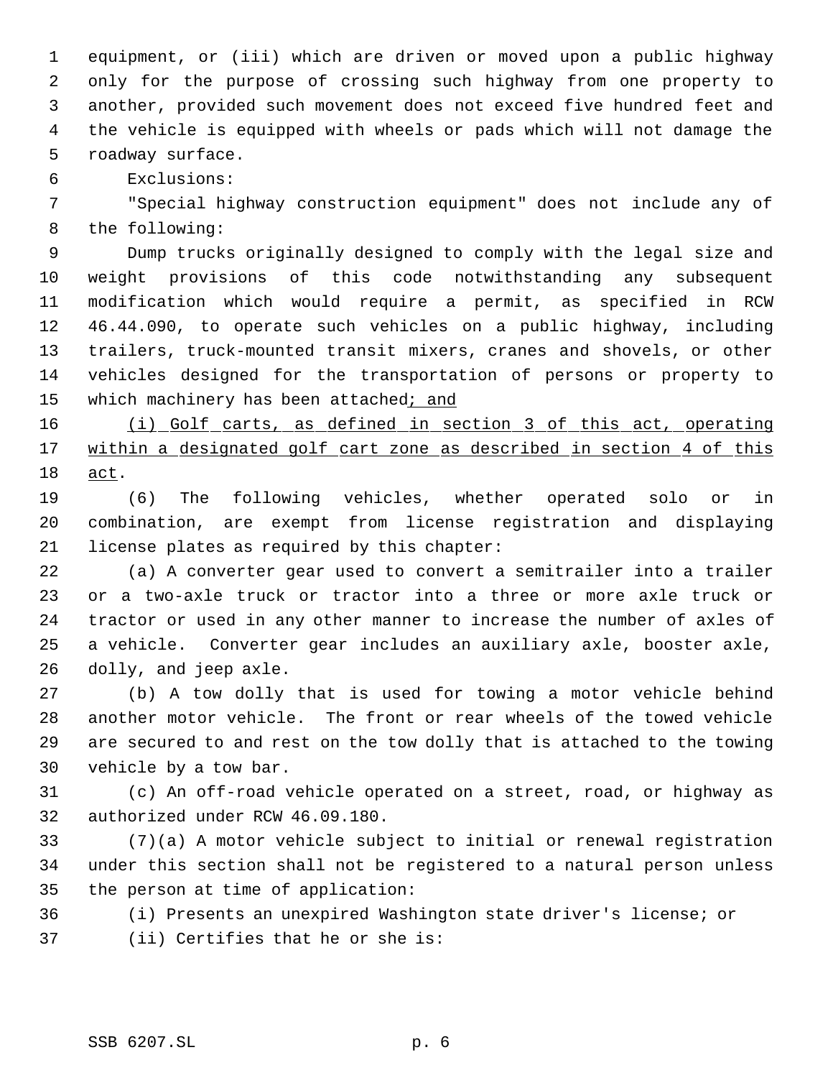equipment, or (iii) which are driven or moved upon a public highway only for the purpose of crossing such highway from one property to another, provided such movement does not exceed five hundred feet and the vehicle is equipped with wheels or pads which will not damage the roadway surface.

Exclusions:

 "Special highway construction equipment" does not include any of the following:

 Dump trucks originally designed to comply with the legal size and weight provisions of this code notwithstanding any subsequent modification which would require a permit, as specified in RCW 46.44.090, to operate such vehicles on a public highway, including trailers, truck-mounted transit mixers, cranes and shovels, or other vehicles designed for the transportation of persons or property to 15 which machinery has been attached; and

 (i) Golf carts, as defined in section 3 of this act, operating 17 within a designated golf cart zone as described in section 4 of this act.

 (6) The following vehicles, whether operated solo or in combination, are exempt from license registration and displaying license plates as required by this chapter:

 (a) A converter gear used to convert a semitrailer into a trailer or a two-axle truck or tractor into a three or more axle truck or tractor or used in any other manner to increase the number of axles of a vehicle. Converter gear includes an auxiliary axle, booster axle, dolly, and jeep axle.

 (b) A tow dolly that is used for towing a motor vehicle behind another motor vehicle. The front or rear wheels of the towed vehicle are secured to and rest on the tow dolly that is attached to the towing vehicle by a tow bar.

 (c) An off-road vehicle operated on a street, road, or highway as authorized under RCW 46.09.180.

 (7)(a) A motor vehicle subject to initial or renewal registration under this section shall not be registered to a natural person unless the person at time of application:

(i) Presents an unexpired Washington state driver's license; or

(ii) Certifies that he or she is: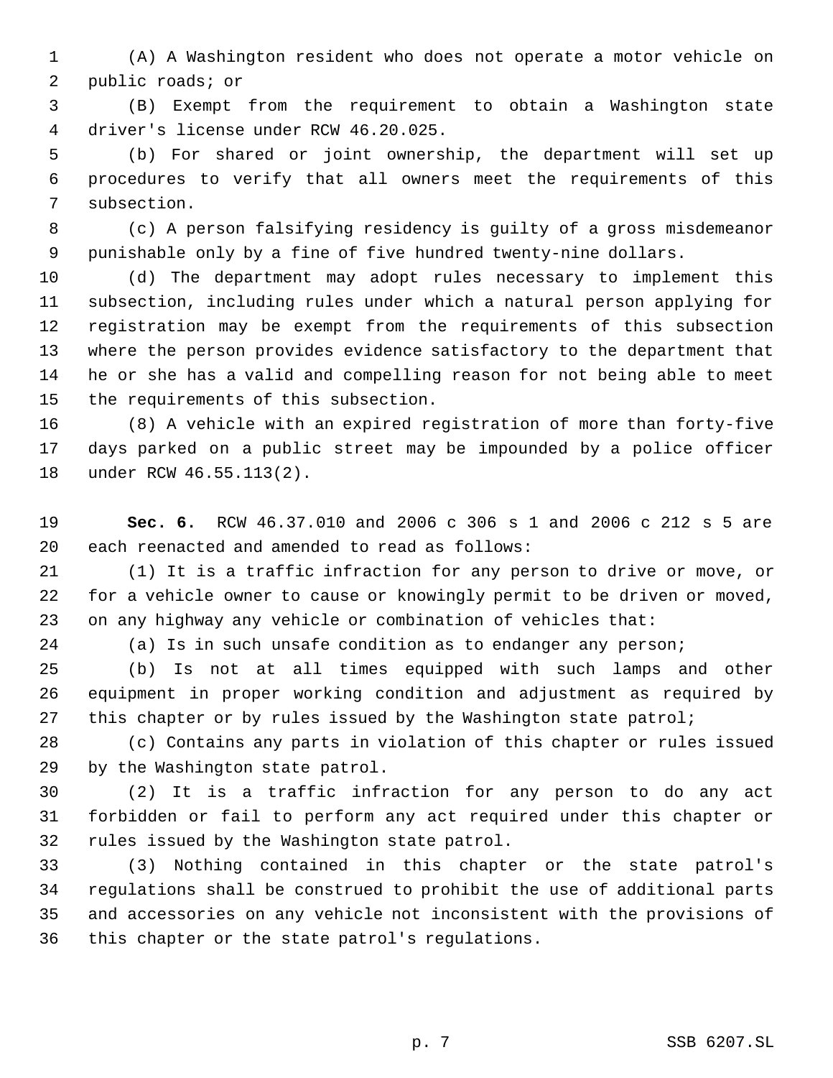(A) A Washington resident who does not operate a motor vehicle on public roads; or

 (B) Exempt from the requirement to obtain a Washington state driver's license under RCW 46.20.025.

 (b) For shared or joint ownership, the department will set up procedures to verify that all owners meet the requirements of this subsection.

 (c) A person falsifying residency is guilty of a gross misdemeanor punishable only by a fine of five hundred twenty-nine dollars.

 (d) The department may adopt rules necessary to implement this subsection, including rules under which a natural person applying for registration may be exempt from the requirements of this subsection where the person provides evidence satisfactory to the department that he or she has a valid and compelling reason for not being able to meet the requirements of this subsection.

 (8) A vehicle with an expired registration of more than forty-five days parked on a public street may be impounded by a police officer under RCW 46.55.113(2).

 **Sec. 6.** RCW 46.37.010 and 2006 c 306 s 1 and 2006 c 212 s 5 are each reenacted and amended to read as follows:

 (1) It is a traffic infraction for any person to drive or move, or for a vehicle owner to cause or knowingly permit to be driven or moved, on any highway any vehicle or combination of vehicles that:

(a) Is in such unsafe condition as to endanger any person;

 (b) Is not at all times equipped with such lamps and other equipment in proper working condition and adjustment as required by 27 this chapter or by rules issued by the Washington state patrol;

 (c) Contains any parts in violation of this chapter or rules issued by the Washington state patrol.

 (2) It is a traffic infraction for any person to do any act forbidden or fail to perform any act required under this chapter or rules issued by the Washington state patrol.

 (3) Nothing contained in this chapter or the state patrol's regulations shall be construed to prohibit the use of additional parts and accessories on any vehicle not inconsistent with the provisions of this chapter or the state patrol's regulations.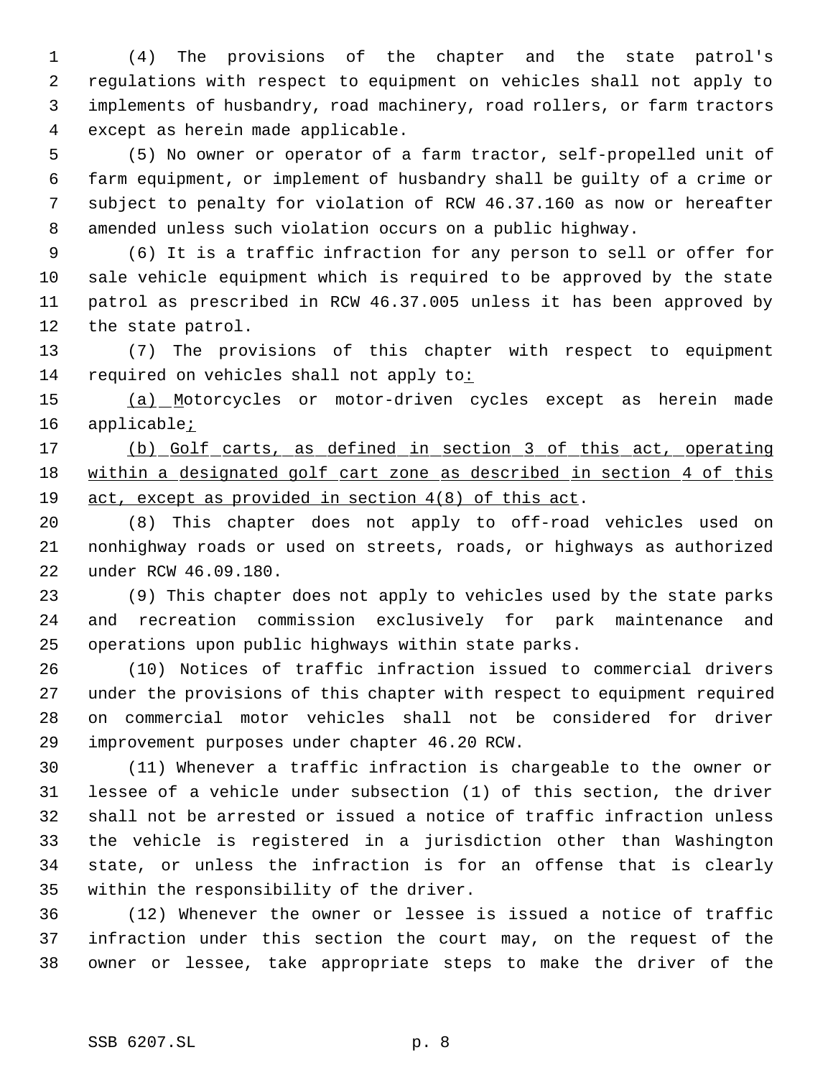(4) The provisions of the chapter and the state patrol's regulations with respect to equipment on vehicles shall not apply to implements of husbandry, road machinery, road rollers, or farm tractors except as herein made applicable.

 (5) No owner or operator of a farm tractor, self-propelled unit of farm equipment, or implement of husbandry shall be guilty of a crime or subject to penalty for violation of RCW 46.37.160 as now or hereafter amended unless such violation occurs on a public highway.

 (6) It is a traffic infraction for any person to sell or offer for sale vehicle equipment which is required to be approved by the state patrol as prescribed in RCW 46.37.005 unless it has been approved by the state patrol.

 (7) The provisions of this chapter with respect to equipment 14 required on vehicles shall not apply to:

 (a) Motorcycles or motor-driven cycles except as herein made 16 applicable<sub>i</sub>

 (b) Golf carts, as defined in section 3 of this act, operating 18 within a designated golf cart zone as described in section 4 of this act, except as provided in section 4(8) of this act.

 (8) This chapter does not apply to off-road vehicles used on nonhighway roads or used on streets, roads, or highways as authorized under RCW 46.09.180.

 (9) This chapter does not apply to vehicles used by the state parks and recreation commission exclusively for park maintenance and operations upon public highways within state parks.

 (10) Notices of traffic infraction issued to commercial drivers under the provisions of this chapter with respect to equipment required on commercial motor vehicles shall not be considered for driver improvement purposes under chapter 46.20 RCW.

 (11) Whenever a traffic infraction is chargeable to the owner or lessee of a vehicle under subsection (1) of this section, the driver shall not be arrested or issued a notice of traffic infraction unless the vehicle is registered in a jurisdiction other than Washington state, or unless the infraction is for an offense that is clearly within the responsibility of the driver.

 (12) Whenever the owner or lessee is issued a notice of traffic infraction under this section the court may, on the request of the owner or lessee, take appropriate steps to make the driver of the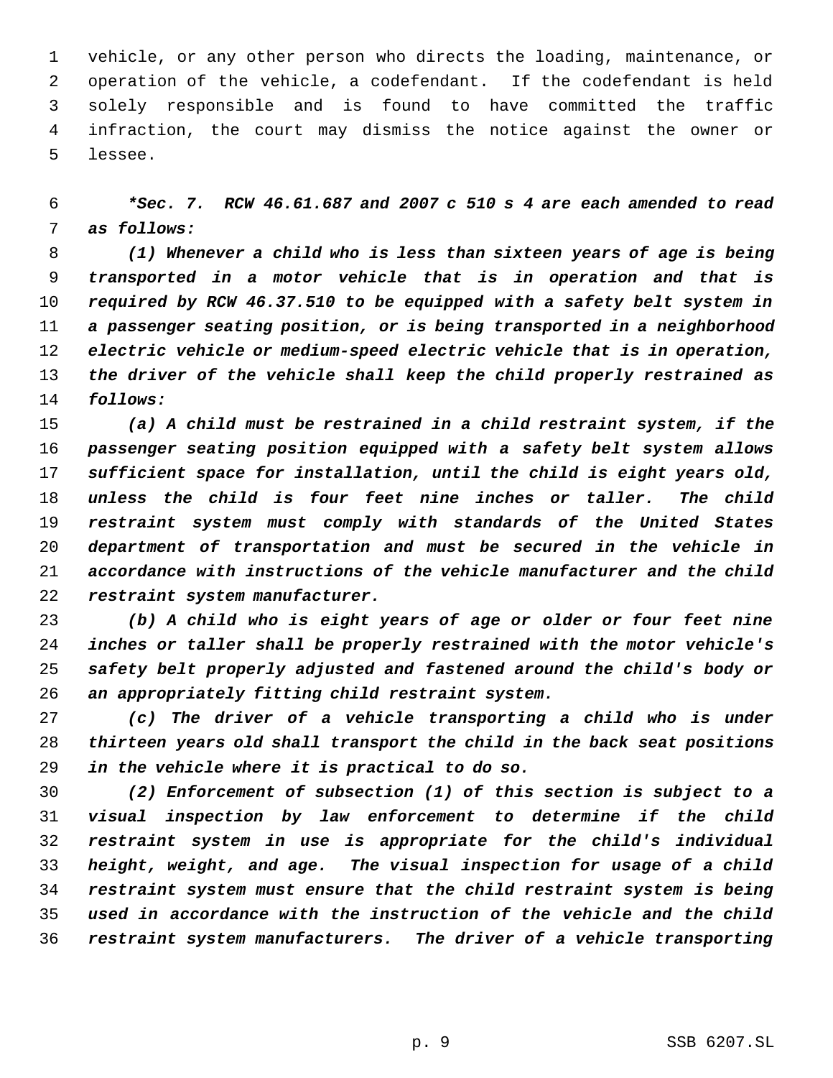vehicle, or any other person who directs the loading, maintenance, or operation of the vehicle, a codefendant. If the codefendant is held solely responsible and is found to have committed the traffic infraction, the court may dismiss the notice against the owner or lessee.

 *\*Sec. 7. RCW 46.61.687 and 2007 c 510 s 4 are each amended to read as follows:*

 *(1) Whenever a child who is less than sixteen years of age is being transported in a motor vehicle that is in operation and that is required by RCW 46.37.510 to be equipped with a safety belt system in a passenger seating position, or is being transported in a neighborhood electric vehicle or medium-speed electric vehicle that is in operation, the driver of the vehicle shall keep the child properly restrained as follows:*

 *(a) A child must be restrained in a child restraint system, if the passenger seating position equipped with a safety belt system allows sufficient space for installation, until the child is eight years old, unless the child is four feet nine inches or taller. The child restraint system must comply with standards of the United States department of transportation and must be secured in the vehicle in accordance with instructions of the vehicle manufacturer and the child restraint system manufacturer.*

 *(b) A child who is eight years of age or older or four feet nine inches or taller shall be properly restrained with the motor vehicle's safety belt properly adjusted and fastened around the child's body or an appropriately fitting child restraint system.*

 *(c) The driver of a vehicle transporting a child who is under thirteen years old shall transport the child in the back seat positions in the vehicle where it is practical to do so.*

 *(2) Enforcement of subsection (1) of this section is subject to a visual inspection by law enforcement to determine if the child restraint system in use is appropriate for the child's individual height, weight, and age. The visual inspection for usage of a child restraint system must ensure that the child restraint system is being used in accordance with the instruction of the vehicle and the child restraint system manufacturers. The driver of a vehicle transporting*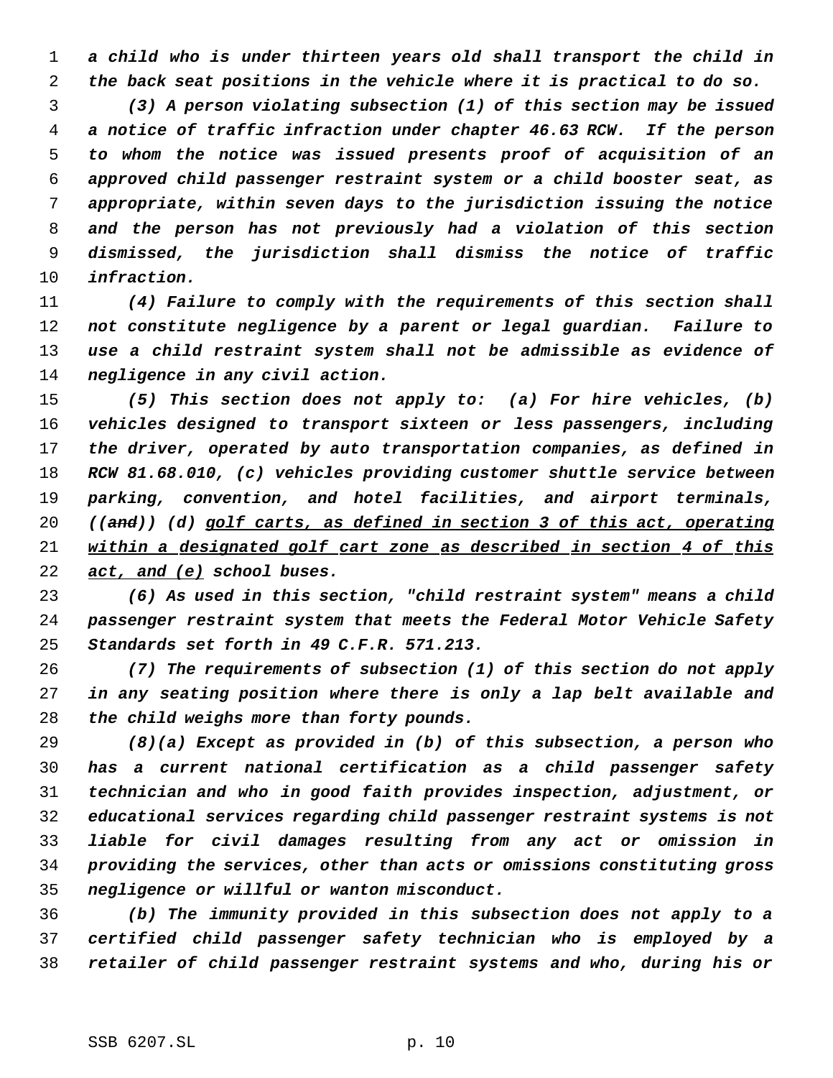*a child who is under thirteen years old shall transport the child in the back seat positions in the vehicle where it is practical to do so.*

 *(3) A person violating subsection (1) of this section may be issued a notice of traffic infraction under chapter 46.63 RCW. If the person to whom the notice was issued presents proof of acquisition of an approved child passenger restraint system or a child booster seat, as appropriate, within seven days to the jurisdiction issuing the notice and the person has not previously had a violation of this section dismissed, the jurisdiction shall dismiss the notice of traffic infraction.*

 *(4) Failure to comply with the requirements of this section shall not constitute negligence by a parent or legal guardian. Failure to use a child restraint system shall not be admissible as evidence of negligence in any civil action.*

 *(5) This section does not apply to: (a) For hire vehicles, (b) vehicles designed to transport sixteen or less passengers, including the driver, operated by auto transportation companies, as defined in RCW 81.68.010, (c) vehicles providing customer shuttle service between parking, convention, and hotel facilities, and airport terminals, ((and)) (d) golf carts, as defined in section 3 of this act, operating within a designated golf cart zone as described in section 4 of this act, and (e) school buses.*

 *(6) As used in this section, "child restraint system" means a child passenger restraint system that meets the Federal Motor Vehicle Safety Standards set forth in 49 C.F.R. 571.213.*

 *(7) The requirements of subsection (1) of this section do not apply in any seating position where there is only a lap belt available and the child weighs more than forty pounds.*

 *(8)(a) Except as provided in (b) of this subsection, a person who has a current national certification as a child passenger safety technician and who in good faith provides inspection, adjustment, or educational services regarding child passenger restraint systems is not liable for civil damages resulting from any act or omission in providing the services, other than acts or omissions constituting gross negligence or willful or wanton misconduct.*

 *(b) The immunity provided in this subsection does not apply to a certified child passenger safety technician who is employed by a retailer of child passenger restraint systems and who, during his or*